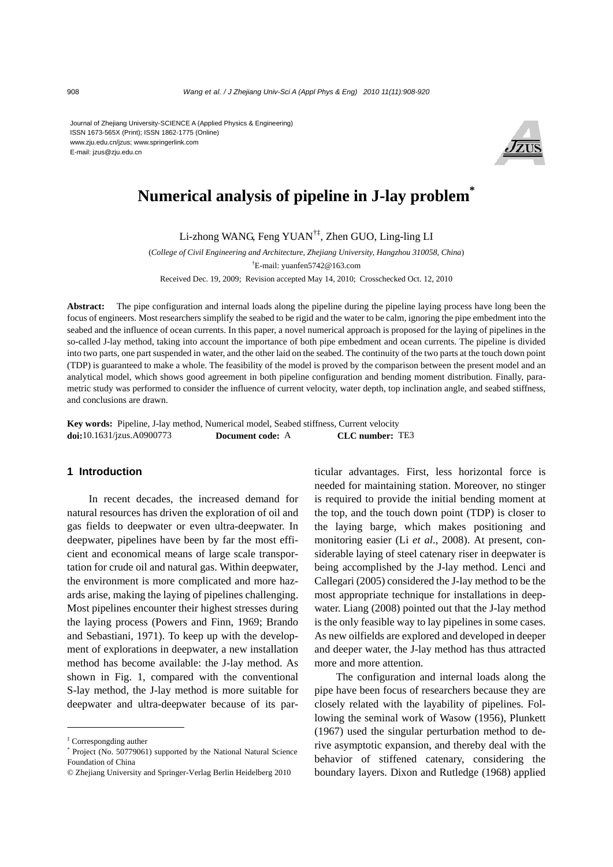Journal of Zhejiang University-SCIENCE A (Applied Physics & Engineering) ISSN 1673-565X (Print); ISSN 1862-1775 (Online) www.zju.edu.cn/jzus; www.springerlink.com E-mail: jzus@zju.edu.cn



# **Numerical analysis of pipeline in J-lay problem\***

Li-zhong WANG, Feng YUAN†‡, Zhen GUO, Ling-ling LI

(*College of Civil Engineering and Architecture, Zhejiang University, Hangzhou 310058, China*) † E-mail: yuanfen5742@163.com

Received Dec. 19, 2009; Revision accepted May 14, 2010; Crosschecked Oct. 12, 2010

**Abstract:** The pipe configuration and internal loads along the pipeline during the pipeline laying process have long been the focus of engineers. Most researchers simplify the seabed to be rigid and the water to be calm, ignoring the pipe embedment into the seabed and the influence of ocean currents. In this paper, a novel numerical approach is proposed for the laying of pipelines in the so-called J-lay method, taking into account the importance of both pipe embedment and ocean currents. The pipeline is divided into two parts, one part suspended in water, and the other laid on the seabed. The continuity of the two parts at the touch down point (TDP) is guaranteed to make a whole. The feasibility of the model is proved by the comparison between the present model and an analytical model, which shows good agreement in both pipeline configuration and bending moment distribution. Finally, parametric study was performed to consider the influence of current velocity, water depth, top inclination angle, and seabed stiffness, and conclusions are drawn.

**Key words:** Pipeline, J-lay method, Numerical model, Seabed stiffness, Current velocity **doi:**10.1631/jzus.A0900773 **Document code:** A **CLC number:** TE3

## **1 Introduction**

In recent decades, the increased demand for natural resources has driven the exploration of oil and gas fields to deepwater or even ultra-deepwater. In deepwater, pipelines have been by far the most efficient and economical means of large scale transportation for crude oil and natural gas. Within deepwater, the environment is more complicated and more hazards arise, making the laying of pipelines challenging. Most pipelines encounter their highest stresses during the laying process (Powers and Finn, 1969; Brando and Sebastiani, 1971). To keep up with the development of explorations in deepwater, a new installation method has become available: the J-lay method. As shown in Fig. 1, compared with the conventional S-lay method, the J-lay method is more suitable for deepwater and ultra-deepwater because of its particular advantages. First, less horizontal force is needed for maintaining station. Moreover, no stinger is required to provide the initial bending moment at the top, and the touch down point (TDP) is closer to the laying barge, which makes positioning and monitoring easier (Li *et al*., 2008). At present, considerable laying of steel catenary riser in deepwater is being accomplished by the J-lay method. Lenci and Callegari (2005) considered the J-lay method to be the most appropriate technique for installations in deepwater. Liang (2008) pointed out that the J-lay method is the only feasible way to lay pipelines in some cases. As new oilfields are explored and developed in deeper and deeper water, the J-lay method has thus attracted more and more attention.

The configuration and internal loads along the pipe have been focus of researchers because they are closely related with the layability of pipelines. Following the seminal work of Wasow (1956), Plunkett (1967) used the singular perturbation method to derive asymptotic expansion, and thereby deal with the behavior of stiffened catenary, considering the boundary layers. Dixon and Rutledge (1968) applied

<sup>‡</sup> Correspongding auther

<sup>\*</sup> Project (No. 50779061) supported by the National Natural Science Foundation of China

<sup>©</sup> Zhejiang University and Springer-Verlag Berlin Heidelberg 2010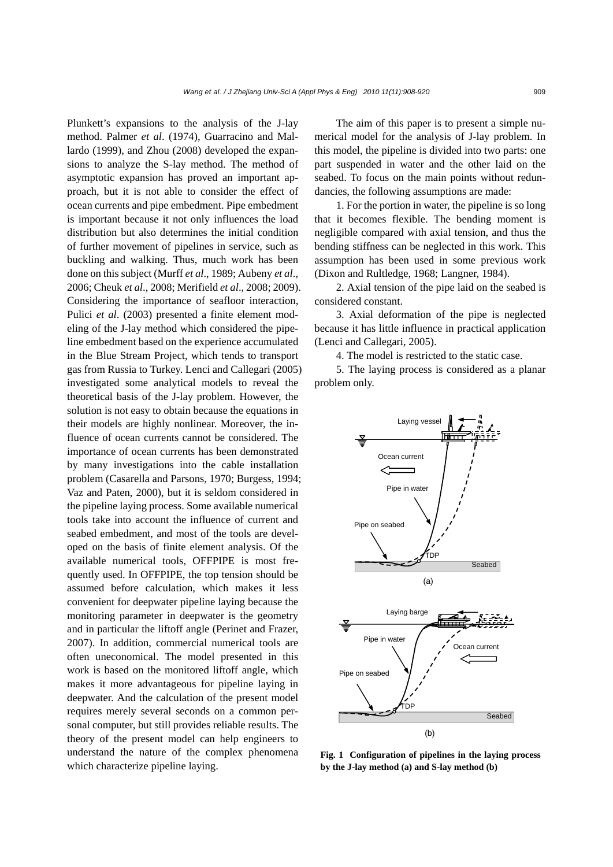Plunkett's expansions to the analysis of the J-lay method. Palmer *et al*. (1974), Guarracino and Mallardo (1999), and Zhou (2008) developed the expansions to analyze the S-lay method. The method of asymptotic expansion has proved an important approach, but it is not able to consider the effect of ocean currents and pipe embedment. Pipe embedment is important because it not only influences the load distribution but also determines the initial condition of further movement of pipelines in service, such as buckling and walking. Thus, much work has been done on this subject (Murff *et al*., 1989; Aubeny *et al*., 2006; Cheuk *et al*., 2008; Merifield *et al*., 2008; 2009). Considering the importance of seafloor interaction, Pulici *et al*. (2003) presented a finite element modeling of the J-lay method which considered the pipeline embedment based on the experience accumulated in the Blue Stream Project, which tends to transport gas from Russia to Turkey. Lenci and Callegari (2005) investigated some analytical models to reveal the theoretical basis of the J-lay problem. However, the solution is not easy to obtain because the equations in their models are highly nonlinear. Moreover, the influence of ocean currents cannot be considered. The importance of ocean currents has been demonstrated by many investigations into the cable installation problem (Casarella and Parsons, 1970; Burgess, 1994; Vaz and Paten, 2000), but it is seldom considered in the pipeline laying process. Some available numerical tools take into account the influence of current and seabed embedment, and most of the tools are developed on the basis of finite element analysis. Of the available numerical tools, OFFPIPE is most frequently used. In OFFPIPE, the top tension should be assumed before calculation, which makes it less convenient for deepwater pipeline laying because the monitoring parameter in deepwater is the geometry and in particular the liftoff angle (Perinet and Frazer, 2007). In addition, commercial numerical tools are often uneconomical. The model presented in this work is based on the monitored liftoff angle, which makes it more advantageous for pipeline laying in deepwater. And the calculation of the present model requires merely several seconds on a common personal computer, but still provides reliable results. The theory of the present model can help engineers to understand the nature of the complex phenomena which characterize pipeline laying.

The aim of this paper is to present a simple numerical model for the analysis of J-lay problem. In this model, the pipeline is divided into two parts: one part suspended in water and the other laid on the seabed. To focus on the main points without redundancies, the following assumptions are made:

1. For the portion in water, the pipeline is so long that it becomes flexible. The bending moment is negligible compared with axial tension, and thus the bending stiffness can be neglected in this work. This assumption has been used in some previous work (Dixon and Rultledge, 1968; Langner, 1984).

2. Axial tension of the pipe laid on the seabed is considered constant.

3. Axial deformation of the pipe is neglected because it has little influence in practical application (Lenci and Callegari, 2005).

4. The model is restricted to the static case.

5. The laying process is considered as a planar problem only.



**Fig. 1 Configuration of pipelines in the laying process by the J-lay method (a) and S-lay method (b)**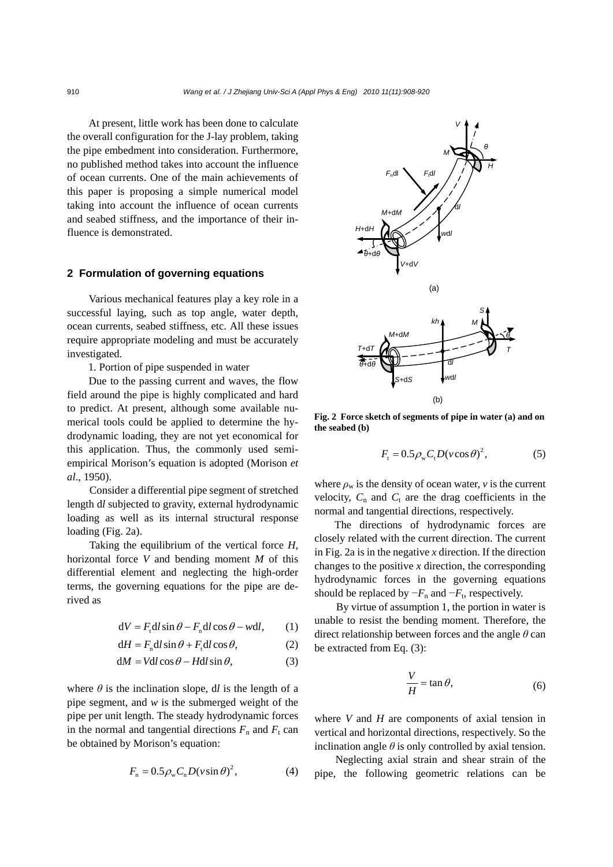At present, little work has been done to calculate the overall configuration for the J-lay problem, taking the pipe embedment into consideration. Furthermore, no published method takes into account the influence of ocean currents. One of the main achievements of this paper is proposing a simple numerical model taking into account the influence of ocean currents and seabed stiffness, and the importance of their influence is demonstrated.

#### **2 Formulation of governing equations**

Various mechanical features play a key role in a successful laying, such as top angle, water depth, ocean currents, seabed stiffness, etc. All these issues require appropriate modeling and must be accurately investigated.

1. Portion of pipe suspended in water

Due to the passing current and waves, the flow field around the pipe is highly complicated and hard to predict. At present, although some available numerical tools could be applied to determine the hydrodynamic loading, they are not yet economical for this application. Thus, the commonly used semiempirical Morison's equation is adopted (Morison *et al*., 1950).

Consider a differential pipe segment of stretched length d*l* subjected to gravity, external hydrodynamic loading as well as its internal structural response loading (Fig. 2a).

Taking the equilibrium of the vertical force *H*, horizontal force *V* and bending moment *M* of this differential element and neglecting the high-order terms, the governing equations for the pipe are derived as

$$
dV = Ft dl \sin \theta - Fn dl \cos \theta - wdl,
$$
 (1)

$$
dH = Fn dl \sin \theta + Ft dl \cos \theta,
$$
 (2)

$$
dM = Vd\cos\theta - Hd\sin\theta, \tag{3}
$$

where  $\theta$  is the inclination slope, dl is the length of a pipe segment, and *w* is the submerged weight of the pipe per unit length. The steady hydrodynamic forces in the normal and tangential directions  $F_n$  and  $F_t$  can be obtained by Morison's equation:

$$
F_{\rm n} = 0.5 \rho_{\rm w} C_{\rm n} D(v \sin \theta)^2, \tag{4}
$$



**Fig. 2 Force sketch of segments of pipe in water (a) and on the seabed (b)**

$$
F_{\rm t} = 0.5 \rho_{\rm w} C_{\rm t} D(v \cos \theta)^2, \qquad (5)
$$

where  $\rho_w$  is the density of ocean water,  $v$  is the current velocity,  $C_n$  and  $C_t$  are the drag coefficients in the normal and tangential directions, respectively.

The directions of hydrodynamic forces are closely related with the current direction. The current in Fig. 2a is in the negative *x* direction. If the direction changes to the positive *x* direction, the corresponding hydrodynamic forces in the governing equations should be replaced by  $-F_n$  and  $-F_t$ , respectively.

By virtue of assumption 1, the portion in water is unable to resist the bending moment. Therefore, the direct relationship between forces and the angle *θ* can be extracted from Eq. (3):

$$
\frac{V}{H} = \tan \theta,\tag{6}
$$

where *V* and *H* are components of axial tension in vertical and horizontal directions, respectively. So the inclination angle  $\theta$  is only controlled by axial tension.

Neglecting axial strain and shear strain of the pipe, the following geometric relations can be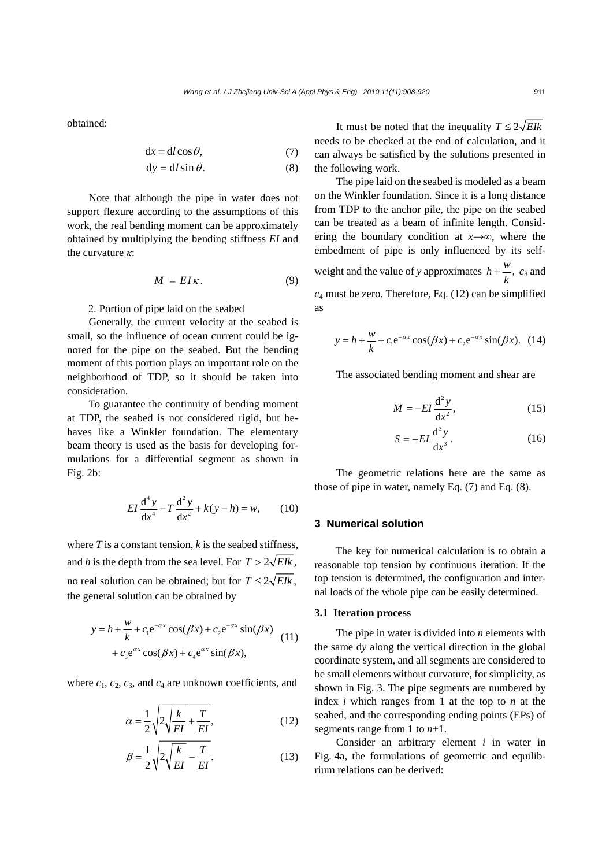obtained:

$$
dx = dl \cos \theta, \tag{7}
$$

$$
dy = dl \sin \theta. \tag{8}
$$

Note that although the pipe in water does not support flexure according to the assumptions of this work, the real bending moment can be approximately obtained by multiplying the bending stiffness *EI* and the curvature *κ*:

$$
M = EI\kappa. \tag{9}
$$

2. Portion of pipe laid on the seabed

Generally, the current velocity at the seabed is small, so the influence of ocean current could be ignored for the pipe on the seabed. But the bending moment of this portion plays an important role on the neighborhood of TDP, so it should be taken into consideration.

To guarantee the continuity of bending moment at TDP, the seabed is not considered rigid, but behaves like a Winkler foundation. The elementary beam theory is used as the basis for developing formulations for a differential segment as shown in Fig. 2b:

$$
EI\frac{d^4y}{dx^4} - T\frac{d^2y}{dx^2} + k(y - h) = w,\qquad(10)
$$

where  $T$  is a constant tension,  $k$  is the seabed stiffness, and *h* is the depth from the sea level. For  $T > 2\sqrt{E/k}$ . no real solution can be obtained; but for  $T \leq 2\sqrt{E/k}$ . the general solution can be obtained by

$$
y = h + \frac{w}{k} + c_1 e^{-\alpha x} \cos(\beta x) + c_2 e^{-\alpha x} \sin(\beta x)
$$
  
+ 
$$
c_3 e^{\alpha x} \cos(\beta x) + c_4 e^{\alpha x} \sin(\beta x),
$$
 (11)

where  $c_1$ ,  $c_2$ ,  $c_3$ , and  $c_4$  are unknown coefficients, and

$$
\alpha = \frac{1}{2} \sqrt{2 \sqrt{\frac{k}{EI}} + \frac{T}{EI}},\tag{12}
$$

$$
\beta = \frac{1}{2} \sqrt{2 \sqrt{\frac{k}{EI}} - \frac{T}{EI}}.
$$
\n(13)

It must be noted that the inequality  $T \leq 2\sqrt{Elk}$ needs to be checked at the end of calculation, and it can always be satisfied by the solutions presented in the following work.

The pipe laid on the seabed is modeled as a beam on the Winkler foundation. Since it is a long distance from TDP to the anchor pile, the pipe on the seabed can be treated as a beam of infinite length. Considering the boundary condition at  $x \rightarrow \infty$ , where the embedment of pipe is only influenced by its selfweight and the value of *y* approximates  $h + \frac{w}{x}$ ,  $+\frac{w}{k}$ ,  $c_3$  and  $c_4$  must be zero. Therefore, Eq.  $(12)$  can be simplified as

$$
y = h + \frac{w}{k} + c_1 e^{-\alpha x} \cos(\beta x) + c_2 e^{-\alpha x} \sin(\beta x). \tag{14}
$$

The associated bending moment and shear are

$$
M = -EI \frac{d^2 y}{dx^2},
$$
 (15)

$$
S = -EI\frac{d^3y}{dx^3}.
$$
 (16)

The geometric relations here are the same as those of pipe in water, namely Eq. (7) and Eq. (8).

# **3 Numerical solution**

The key for numerical calculation is to obtain a reasonable top tension by continuous iteration. If the top tension is determined, the configuration and internal loads of the whole pipe can be easily determined.

## **3.1 Iteration process**

The pipe in water is divided into *n* elements with the same d*y* along the vertical direction in the global coordinate system, and all segments are considered to be small elements without curvature, for simplicity, as shown in Fig. 3. The pipe segments are numbered by index *i* which ranges from 1 at the top to *n* at the seabed, and the corresponding ending points (EPs) of segments range from 1 to *n*+1.

Consider an arbitrary element *i* in water in Fig. 4a, the formulations of geometric and equilibrium relations can be derived: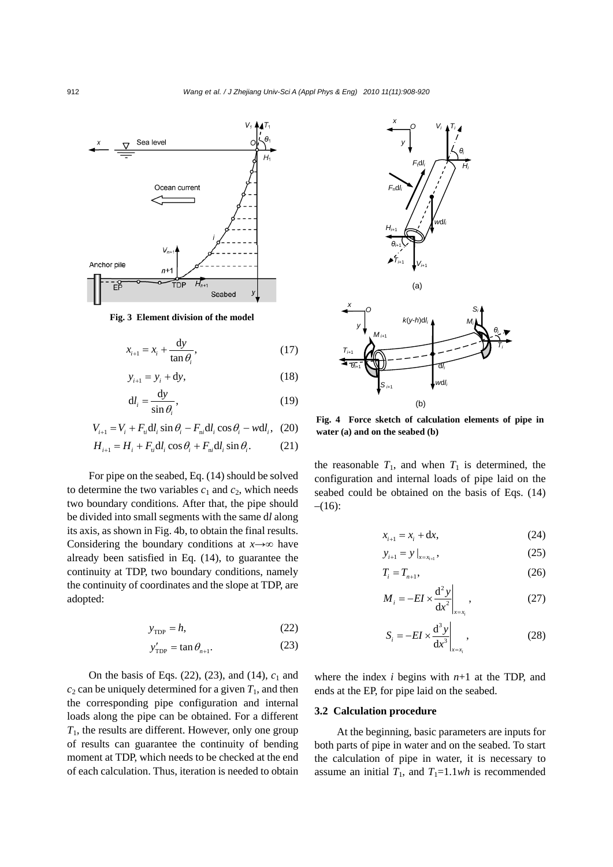

**Fig. 3 Element division of the model**

$$
x_{i+1} = x_i + \frac{dy}{\tan \theta_i},\tag{17}
$$

$$
y_{i+1} = y_i + dy,\t\t(18)
$$

$$
dl_i = \frac{dy}{\sin \theta_i},\tag{19}
$$

$$
V_{i+1} = V_i + F_u \mathrm{d}l_i \sin \theta_i - F_{ni} \mathrm{d}l_i \cos \theta_i - w \mathrm{d}l_i, (20)
$$

$$
H_{i+1} = H_i + F_{ii} \mathrm{d}I_i \cos \theta_i + F_{ni} \mathrm{d}I_i \sin \theta_i. \tag{21}
$$

For pipe on the seabed, Eq. (14) should be solved to determine the two variables  $c_1$  and  $c_2$ , which needs two boundary conditions. After that, the pipe should be divided into small segments with the same d*l* along its axis, as shown in Fig. 4b, to obtain the final results. Considering the boundary conditions at  $x \rightarrow \infty$  have already been satisfied in Eq. (14), to guarantee the continuity at TDP, two boundary conditions, namely the continuity of coordinates and the slope at TDP, are adopted:

$$
y_{\text{TOP}} = h,\tag{22}
$$

$$
y'_{\text{TDP}} = \tan \theta_{n+1}.\tag{23}
$$

On the basis of Eqs. (22), (23), and (14), *c*1 and  $c_2$  can be uniquely determined for a given  $T_1$ , and then the corresponding pipe configuration and internal loads along the pipe can be obtained. For a different *T*1, the results are different. However, only one group of results can guarantee the continuity of bending moment at TDP, which needs to be checked at the end of each calculation. Thus, iteration is needed to obtain



**Fig. 4 Force sketch of calculation elements of pipe in water (a) and on the seabed (b)** 

the reasonable  $T_1$ , and when  $T_1$  is determined, the configuration and internal loads of pipe laid on the seabed could be obtained on the basis of Eqs. (14)  $-(16)$ :

$$
x_{i+1} = x_i + dx,\t\t(24)
$$

$$
y_{i+1} = y|_{x = x_{i+1}}, \tag{25}
$$

$$
T_i = T_{n+1},\tag{26}
$$

$$
M_{i} = -EI \times \frac{d^{2} y}{dx^{2}} \bigg|_{x=x_{i}} , \qquad (27)
$$

$$
S_i = -EI \times \frac{d^3 y}{dx^3}\bigg|_{x=x_i},\tag{28}
$$

where the index *i* begins with *n*+1 at the TDP, and ends at the EP, for pipe laid on the seabed.

#### **3.2 Calculation procedure**

At the beginning, basic parameters are inputs for both parts of pipe in water and on the seabed. To start the calculation of pipe in water, it is necessary to assume an initial  $T_1$ , and  $T_1=1.1wh$  is recommended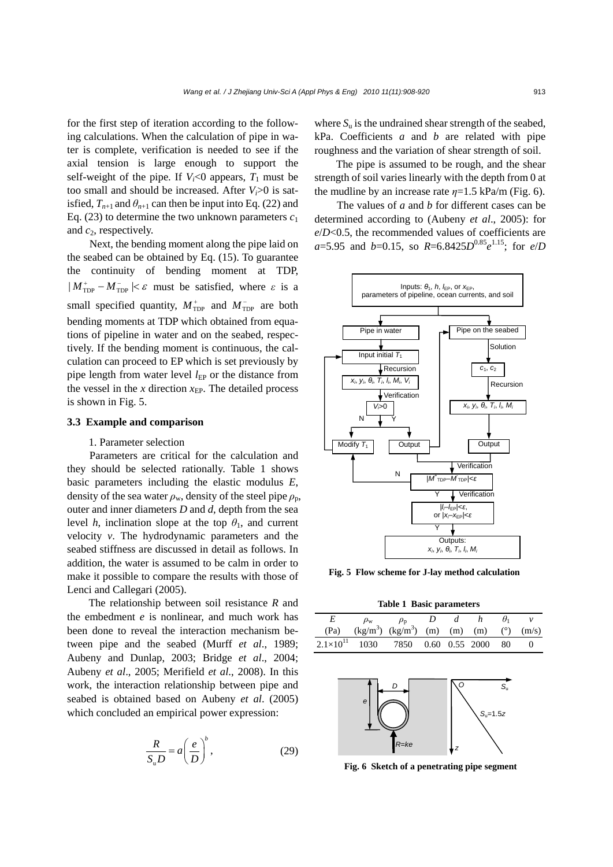for the first step of iteration according to the following calculations. When the calculation of pipe in water is complete, verification is needed to see if the axial tension is large enough to support the self-weight of the pipe. If  $V_i < 0$  appears,  $T_1$  must be too small and should be increased. After  $V_i > 0$  is satisfied,  $T_{n+1}$  and  $\theta_{n+1}$  can then be input into Eq. (22) and Eq. (23) to determine the two unknown parameters  $c_1$ and  $c_2$ , respectively.

Next, the bending moment along the pipe laid on the seabed can be obtained by Eq. (15). To guarantee the continuity of bending moment at TDP,  $|M_{\text{top}}^{+} - M_{\text{top}}^{-}| < \varepsilon$  must be satisfied, where  $\varepsilon$  is a small specified quantity,  $M_{\text{TDP}}^+$  and  $M_{\text{TDP}}^-$  are both bending moments at TDP which obtained from equations of pipeline in water and on the seabed, respectively. If the bending moment is continuous, the calculation can proceed to EP which is set previously by pipe length from water level  $l_{EP}$  or the distance from the vessel in the  $x$  direction  $x_{EP}$ . The detailed process is shown in Fig. 5.

#### **3.3 Example and comparison**

#### 1. Parameter selection

Parameters are critical for the calculation and they should be selected rationally. Table 1 shows basic parameters including the elastic modulus *E*, density of the sea water  $\rho_w$ , density of the steel pipe  $\rho_p$ , outer and inner diameters *D* and *d*, depth from the sea level *h*, inclination slope at the top  $\theta_1$ , and current velocity *v*. The hydrodynamic parameters and the seabed stiffness are discussed in detail as follows. In addition, the water is assumed to be calm in order to make it possible to compare the results with those of Lenci and Callegari (2005).

The relationship between soil resistance *R* and the embedment *e* is nonlinear, and much work has been done to reveal the interaction mechanism between pipe and the seabed (Murff *et al*., 1989; Aubeny and Dunlap, 2003; Bridge *et al*., 2004; Aubeny *et al*., 2005; Merifield *et al*., 2008). In this work, the interaction relationship between pipe and seabed is obtained based on Aubeny *et al*. (2005) which concluded an empirical power expression:

$$
\frac{R}{S_u D} = a \left(\frac{e}{D}\right)^b, \tag{29}
$$

where  $S_u$  is the undrained shear strength of the seabed, kPa. Coefficients *a* and *b* are related with pipe roughness and the variation of shear strength of soil.

The pipe is assumed to be rough, and the shear strength of soil varies linearly with the depth from 0 at the mudline by an increase rate  $n=1.5$  kPa/m (Fig. 6).

The values of *a* and *b* for different cases can be determined according to (Aubeny *et al*., 2005): for *e*/*D*<0.5, the recommended values of coefficients are *a*=5.95 and *b*=0.15, so *R*=6.8425*D*<sup>0.85</sup>*e*<sup>1.15</sup>; for *e*/*D* 



**Fig. 5 Flow scheme for J-lay method calculation** 

**Table 1 Basic parameters** 

|  | $\rho_{\rm w}$ $\rho_{\rm p}$ $D$ d $h$ $\theta_1$ v |  |  |  |
|--|------------------------------------------------------|--|--|--|
|  | (Pa) $(kg/m^3)$ $(kg/m^3)$ (m) (m) (m) (°) (m/s)     |  |  |  |
|  | $2.1 \times 10^{11}$ 1030 7850 0.60 0.55 2000 80     |  |  |  |



**Fig. 6 Sketch of a penetrating pipe segment**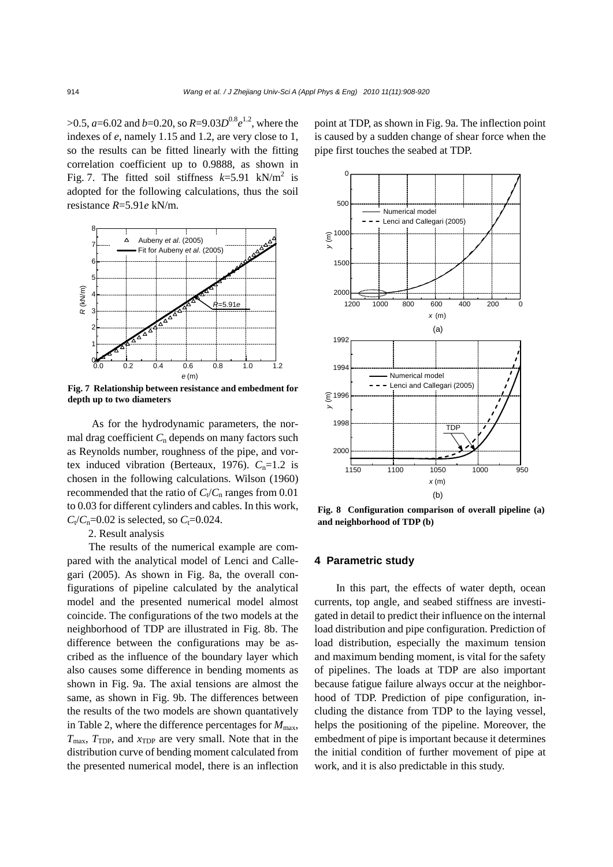>0.5, *a*=6.02 and *b*=0.20, so *R*=9.03*D*<sup>0.8</sup> $e^{1.2}$ , where the indexes of *e*, namely 1.15 and 1.2, are very close to 1, so the results can be fitted linearly with the fitting correlation coefficient up to 0.9888, as shown in Fig. 7. The fitted soil stiffness  $k=5.91$  kN/m<sup>2</sup> is adopted for the following calculations, thus the soil resistance *R*=5.91*e* kN/m.



**Fig. 7 Relationship between resistance and embedment for depth up to two diameters** 

As for the hydrodynamic parameters, the normal drag coefficient *C*n depends on many factors such as Reynolds number, roughness of the pipe, and vortex induced vibration (Berteaux, 1976).  $C_n=1.2$  is chosen in the following calculations. Wilson (1960) recommended that the ratio of  $C_t/C_n$  ranges from 0.01 to 0.03 for different cylinders and cables. In this work,  $C_t/C_n=0.02$  is selected, so  $C_t=0.024$ .

2. Result analysis

The results of the numerical example are compared with the analytical model of Lenci and Callegari (2005). As shown in Fig. 8a, the overall configurations of pipeline calculated by the analytical model and the presented numerical model almost coincide. The configurations of the two models at the neighborhood of TDP are illustrated in Fig. 8b. The difference between the configurations may be ascribed as the influence of the boundary layer which also causes some difference in bending moments as shown in Fig. 9a. The axial tensions are almost the same, as shown in Fig. 9b. The differences between the results of the two models are shown quantatively in Table 2, where the difference percentages for  $M_{\text{max}}$ ,  $T_{\text{max}}$ ,  $T_{\text{TDP}}$ , and  $x_{\text{TDP}}$  are very small. Note that in the distribution curve of bending moment calculated from the presented numerical model, there is an inflection point at TDP, as shown in Fig. 9a. The inflection point is caused by a sudden change of shear force when the pipe first touches the seabed at TDP.



**Fig. 8 Configuration comparison of overall pipeline (a) and neighborhood of TDP (b)** 

#### **4 Parametric study**

In this part, the effects of water depth, ocean currents, top angle, and seabed stiffness are investigated in detail to predict their influence on the internal load distribution and pipe configuration. Prediction of load distribution, especially the maximum tension and maximum bending moment, is vital for the safety of pipelines. The loads at TDP are also important because fatigue failure always occur at the neighborhood of TDP. Prediction of pipe configuration, including the distance from TDP to the laying vessel, helps the positioning of the pipeline. Moreover, the embedment of pipe is important because it determines the initial condition of further movement of pipe at work, and it is also predictable in this study.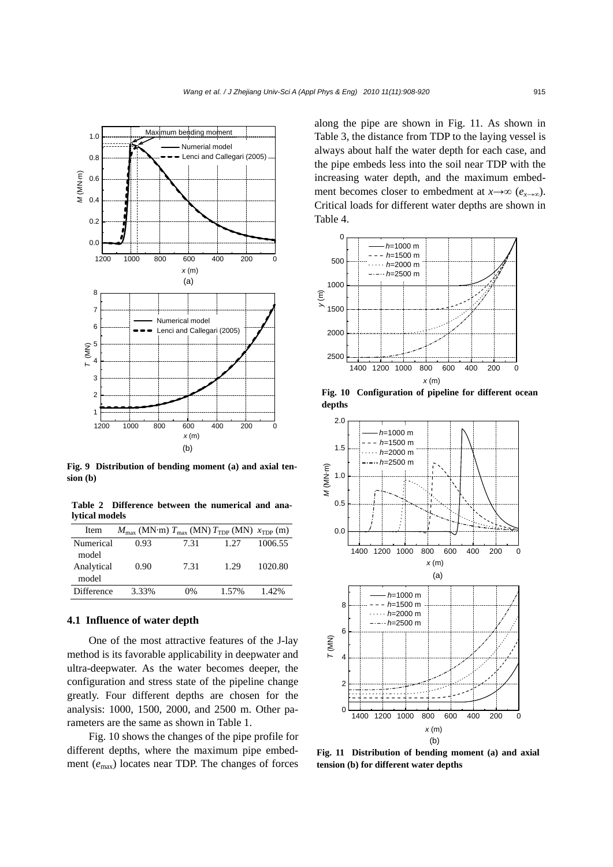

**Fig. 9 Distribution of bending moment (a) and axial tension (b)** 

**Table 2 Difference between the numerical and analytical models** 

| Item                         | $M_{\rm max}$ (MN·m) $T_{\rm max}$ (MN) $T_{\rm TDP}$ (MN) $x_{\rm TDP}$ (m) |      |       |         |
|------------------------------|------------------------------------------------------------------------------|------|-------|---------|
| Numerical                    | 0.93                                                                         | 7.31 | 1.27  | 1006.55 |
| model<br>Analytical<br>model | 0.90                                                                         | 7.31 | 1.29  | 1020.80 |
| Difference                   | 3.33%                                                                        | 0%   | 1.57% | 1.42%   |

# **4.1 Influence of water depth**

One of the most attractive features of the J-lay method is its favorable applicability in deepwater and ultra-deepwater. As the water becomes deeper, the configuration and stress state of the pipeline change greatly. Four different depths are chosen for the analysis: 1000, 1500, 2000, and 2500 m. Other parameters are the same as shown in Table 1.

Fig. 10 shows the changes of the pipe profile for different depths, where the maximum pipe embedment (*e*max) locates near TDP. The changes of forces along the pipe are shown in Fig. 11. As shown in Table 3, the distance from TDP to the laying vessel is always about half the water depth for each case, and the pipe embeds less into the soil near TDP with the increasing water depth, and the maximum embedment becomes closer to embedment at  $x \rightarrow \infty$  ( $e_{x \rightarrow \infty}$ ). Critical loads for different water depths are shown in Table 4.



**Fig. 10 Configuration of pipeline for different ocean depths** 



**Fig. 11 Distribution of bending moment (a) and axial tension (b) for different water depths**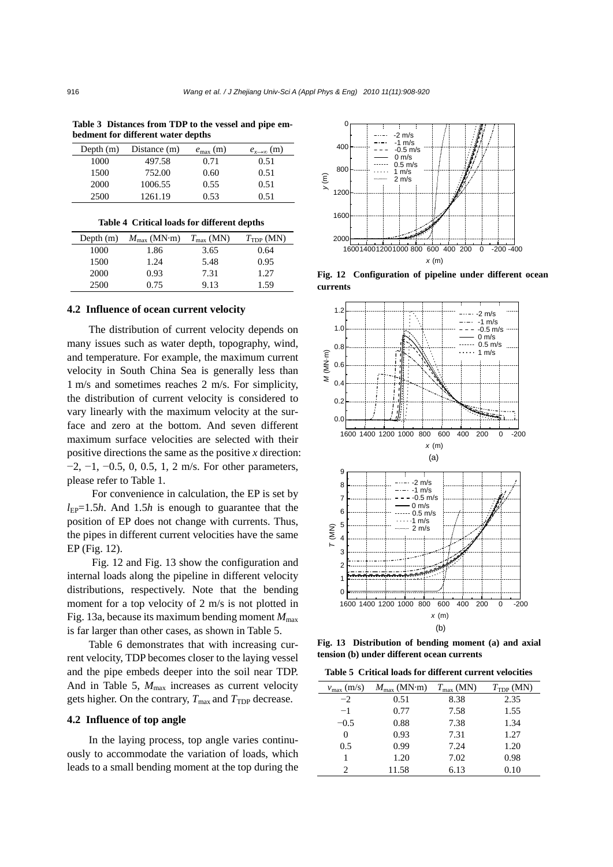| beament for amerent water depths |              |                      |                      |  |  |  |
|----------------------------------|--------------|----------------------|----------------------|--|--|--|
| Depth $(m)$                      | Distance (m) | $e_{\text{max}}$ (m) | $e_{x\to\infty}$ (m) |  |  |  |
| 1000                             | 497.58       | 0.71                 | 0.51                 |  |  |  |
| 1500                             | 752.00       | 0.60                 | 0.51                 |  |  |  |
| 2000                             | 1006.55      | 0.55                 | 0.51                 |  |  |  |
| 2500                             | 1261.19      | 0.53                 | 0.51                 |  |  |  |

**Table 3 Distances from TDP to the vessel and pipe embedment for different water depths** 

| Table 4 Critical loads for different depths |
|---------------------------------------------|
|---------------------------------------------|

| Depth $(m)$ | $M_{\rm max}$ (MN·m) | $T_{\rm max}$ (MN) | $T_{\text{TDP}}$ (MN) |
|-------------|----------------------|--------------------|-----------------------|
| 1000        | 1.86                 | 3.65               | 0.64                  |
| 1500        | 1.24                 | 5.48               | 0.95                  |
| 2000        | 0.93                 | 7.31               | 1.27                  |
| 2500        | 0.75                 | 9.13               | 1.59                  |

#### **4.2 Influence of ocean current velocity**

The distribution of current velocity depends on many issues such as water depth, topography, wind, and temperature. For example, the maximum current velocity in South China Sea is generally less than 1 m/s and sometimes reaches 2 m/s. For simplicity, the distribution of current velocity is considered to vary linearly with the maximum velocity at the surface and zero at the bottom. And seven different maximum surface velocities are selected with their positive directions the same as the positive *x* direction: −2, −1, −0.5, 0, 0.5, 1, 2 m/s. For other parameters, please refer to Table 1.

For convenience in calculation, the EP is set by  $l_{EP}=1.5h$ . And 1.5*h* is enough to guarantee that the position of EP does not change with currents. Thus, the pipes in different current velocities have the same EP (Fig. 12).

Fig. 12 and Fig. 13 show the configuration and internal loads along the pipeline in different velocity distributions, respectively. Note that the bending moment for a top velocity of 2 m/s is not plotted in Fig. 13a, because its maximum bending moment  $M_{\text{max}}$ is far larger than other cases, as shown in Table 5.

Table 6 demonstrates that with increasing current velocity, TDP becomes closer to the laying vessel and the pipe embeds deeper into the soil near TDP. And in Table 5,  $M_{\text{max}}$  increases as current velocity gets higher. On the contrary,  $T_{\text{max}}$  and  $T_{\text{TDP}}$  decrease.

#### **4.2 Influence of top angle**

In the laying process, top angle varies continuously to accommodate the variation of loads, which leads to a small bending moment at the top during the



**Fig. 12 Configuration of pipeline under different ocean currents** 



**Fig. 13 Distribution of bending moment (a) and axial tension (b) under different ocean currents** 

**Table 5 Critical loads for different current velocities** 

| $v_{\text{max}}$ (m/s) | $M_{\rm max}$ (MN·m) | $T_{\text{max}}$ (MN) | $T_{\text{TDP}}$ (MN) |
|------------------------|----------------------|-----------------------|-----------------------|
| $-2$                   | 0.51                 | 8.38                  | 2.35                  |
| $-1$                   | 0.77                 | 7.58                  | 1.55                  |
| $-0.5$                 | 0.88                 | 7.38                  | 1.34                  |
| 0                      | 0.93                 | 7.31                  | 1.27                  |
| 0.5                    | 0.99                 | 7.24                  | 1.20                  |
|                        | 1.20                 | 7.02                  | 0.98                  |
|                        | 11.58                | 6.13                  | 0.10                  |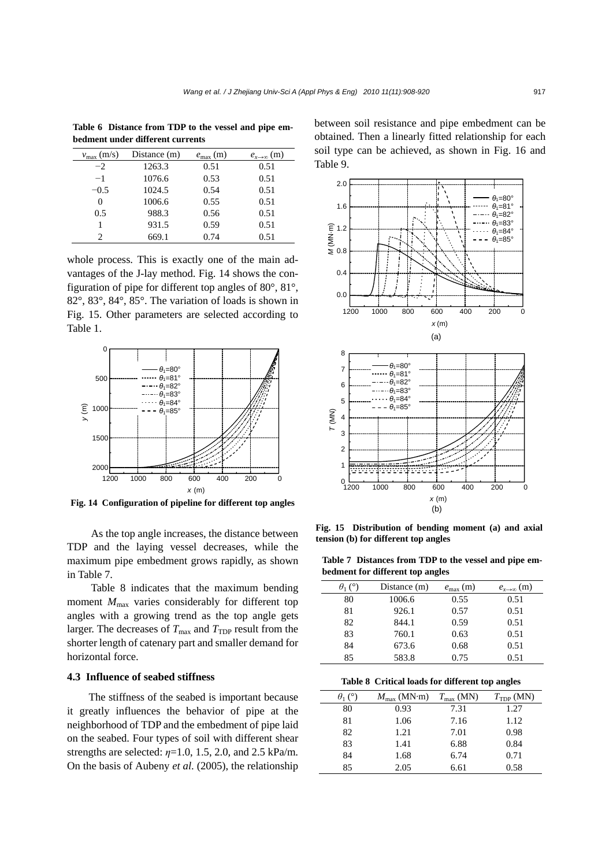**Table 6 Distance from TDP to the vessel and pipe embedment under different currents** 

| $v_{\text{max}}$ (m/s) | Distance (m) | $e_{\text{max}}$ (m) | $e_{x\to\infty}$ (m) |
|------------------------|--------------|----------------------|----------------------|
| $-2$                   | 1263.3       | 0.51                 | 0.51                 |
| $-1$                   | 1076.6       | 0.53                 | 0.51                 |
| $-0.5$                 | 1024.5       | 0.54                 | 0.51                 |
| 0                      | 1006.6       | 0.55                 | 0.51                 |
| 0.5                    | 988.3        | 0.56                 | 0.51                 |
|                        | 931.5        | 0.59                 | 0.51                 |
| 2                      | 669.1        | 0.74                 | 0.51                 |

whole process. This is exactly one of the main advantages of the J-lay method. Fig. 14 shows the configuration of pipe for different top angles of 80°, 81°, 82°, 83°, 84°, 85°. The variation of loads is shown in Fig. 15. Other parameters are selected according to Table 1.



**Fig. 14 Configuration of pipeline for different top angles**

As the top angle increases, the distance between TDP and the laying vessel decreases, while the maximum pipe embedment grows rapidly, as shown in Table 7.

Table 8 indicates that the maximum bending moment *M*<sub>max</sub> varies considerably for different top angles with a growing trend as the top angle gets larger. The decreases of  $T_{\text{max}}$  and  $T_{\text{TDP}}$  result from the shorter length of catenary part and smaller demand for horizontal force.

## **4.3 Influence of seabed stiffness**

The stiffness of the seabed is important because it greatly influences the behavior of pipe at the neighborhood of TDP and the embedment of pipe laid on the seabed. Four types of soil with different shear strengths are selected: *η*=1.0, 1.5, 2.0, and 2.5 kPa/m. On the basis of Aubeny *et al*. (2005), the relationship between soil resistance and pipe embedment can be obtained. Then a linearly fitted relationship for each soil type can be achieved, as shown in Fig. 16 and Table 9.



**Fig. 15 Distribution of bending moment (a) and axial tension (b) for different top angles**

**Table 7 Distances from TDP to the vessel and pipe embedment for different top angles** 

|    | Distance (m) | $e_{\text{max}}$ (m) | $e_{x\to\infty}$ (m) |
|----|--------------|----------------------|----------------------|
| 80 | 1006.6       | 0.55                 | 0.51                 |
| 81 | 926.1        | 0.57                 | 0.51                 |
| 82 | 844.1        | 0.59                 | 0.51                 |
| 83 | 760.1        | 0.63                 | 0.51                 |
| 84 | 673.6        | 0.68                 | 0.51                 |
| 85 | 583.8        | 0.75                 | 0.51                 |

**Table 8 Critical loads for different top angles** 

| $\theta_1$ (°) | $M_{\rm max}$ (MN·m) | $T_{\rm max}$ (MN) | $T_{\text{TDP}}$ (MN) |
|----------------|----------------------|--------------------|-----------------------|
| 80             | 0.93                 | 7.31               | 1.27                  |
| 81             | 1.06                 | 7.16               | 1.12                  |
| 82             | 1.21                 | 7.01               | 0.98                  |
| 83             | 1.41                 | 6.88               | 0.84                  |
| 84             | 1.68                 | 6.74               | 0.71                  |
| 85             | 2.05                 | 6.61               | 0.58                  |
|                |                      |                    |                       |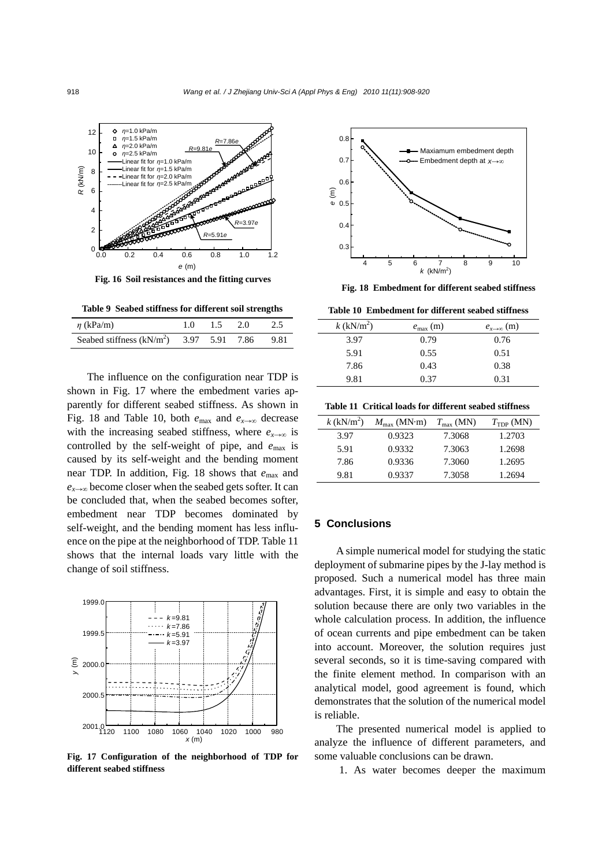

**Table 9 Seabed stiffness for different soil strengths** 

| $\eta$ (kPa/m)                             | 1.0 | $1.5 \t2.0$ | 2.5  |
|--------------------------------------------|-----|-------------|------|
| Seabed stiffness $(kN/m^2)$ 3.97 5.91 7.86 |     |             | 9.81 |

The influence on the configuration near TDP is shown in Fig. 17 where the embedment varies apparently for different seabed stiffness. As shown in Fig. 18 and Table 10, both  $e_{\text{max}}$  and  $e_{\text{x}\to\infty}$  decrease with the increasing seabed stiffness, where  $e_{x\to\infty}$  is controlled by the self-weight of pipe, and *e*max is caused by its self-weight and the bending moment near TDP. In addition, Fig. 18 shows that *e*max and  $e_{x\rightarrow\infty}$  become closer when the seabed gets softer. It can be concluded that, when the seabed becomes softer, embedment near TDP becomes dominated by self-weight, and the bending moment has less influence on the pipe at the neighborhood of TDP. Table 11 shows that the internal loads vary little with the change of soil stiffness.



**Fig. 17 Configuration of the neighborhood of TDP for different seabed stiffness** 



**Fig. 18 Embedment for different seabed stiffness**

**Table 10 Embedment for different seabed stiffness** 

| $k$ (kN/m <sup>2</sup> ) | $e_{\text{max}}$ (m) | $e_{x\to\infty}$ (m) |
|--------------------------|----------------------|----------------------|
| 3.97                     | 0.79                 | 0.76                 |
| 5.91                     | 0.55                 | 0.51                 |
| 7.86                     | 0.43                 | 0.38                 |
| 9.81                     | 0.37                 | 0.31                 |

**Table 11 Critical loads for different seabed stiffness** 

| $k$ (kN/m <sup>2</sup> ) | $M_{\rm max}$ (MN·m) | $T_{\text{max}}$ (MN) | $T_{\text{TDP}}$ (MN) |
|--------------------------|----------------------|-----------------------|-----------------------|
| 3.97                     | 0.9323               | 7.3068                | 1.2703                |
| 5.91                     | 0.9332               | 7.3063                | 1.2698                |
| 7.86                     | 0.9336               | 7.3060                | 1.2695                |
| 9.81                     | 0.9337               | 7.3058                | 1.2694                |

# **5 Conclusions**

A simple numerical model for studying the static deployment of submarine pipes by the J-lay method is proposed. Such a numerical model has three main advantages. First, it is simple and easy to obtain the solution because there are only two variables in the whole calculation process. In addition, the influence of ocean currents and pipe embedment can be taken into account. Moreover, the solution requires just several seconds, so it is time-saving compared with the finite element method. In comparison with an analytical model, good agreement is found, which demonstrates that the solution of the numerical model is reliable.

The presented numerical model is applied to analyze the influence of different parameters, and some valuable conclusions can be drawn.

1. As water becomes deeper the maximum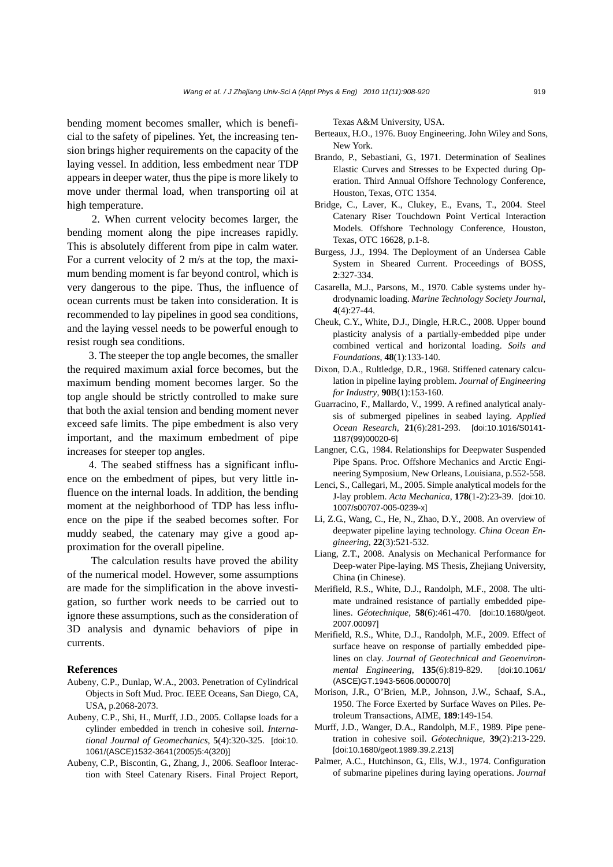bending moment becomes smaller, which is beneficial to the safety of pipelines. Yet, the increasing tension brings higher requirements on the capacity of the laying vessel. In addition, less embedment near TDP appears in deeper water, thus the pipe is more likely to move under thermal load, when transporting oil at high temperature.

2. When current velocity becomes larger, the bending moment along the pipe increases rapidly. This is absolutely different from pipe in calm water. For a current velocity of 2 m/s at the top, the maximum bending moment is far beyond control, which is very dangerous to the pipe. Thus, the influence of ocean currents must be taken into consideration. It is recommended to lay pipelines in good sea conditions, and the laying vessel needs to be powerful enough to resist rough sea conditions.

3. The steeper the top angle becomes, the smaller the required maximum axial force becomes, but the maximum bending moment becomes larger. So the top angle should be strictly controlled to make sure that both the axial tension and bending moment never exceed safe limits. The pipe embedment is also very important, and the maximum embedment of pipe increases for steeper top angles.

4. The seabed stiffness has a significant influence on the embedment of pipes, but very little influence on the internal loads. In addition, the bending moment at the neighborhood of TDP has less influence on the pipe if the seabed becomes softer. For muddy seabed, the catenary may give a good approximation for the overall pipeline.

The calculation results have proved the ability of the numerical model. However, some assumptions are made for the simplification in the above investigation, so further work needs to be carried out to ignore these assumptions, such as the consideration of 3D analysis and dynamic behaviors of pipe in currents.

#### **References**

- Aubeny, C.P., Dunlap, W.A., 2003. Penetration of Cylindrical Objects in Soft Mud. Proc. IEEE Oceans, San Diego, CA, USA, p.2068-2073.
- Aubeny, C.P., Shi, H., Murff, J.D., 2005. Collapse loads for a cylinder embedded in trench in cohesive soil. *International Journal of Geomechanics*, **5**(4):320-325. [doi:10. 1061/(ASCE)1532-3641(2005)5:4(320)]
- Aubeny, C.P., Biscontin, G., Zhang, J., 2006. Seafloor Interaction with Steel Catenary Risers. Final Project Report,

Texas A&M University, USA.

- Berteaux, H.O., 1976. Buoy Engineering. John Wiley and Sons, New York.
- Brando, P., Sebastiani, G., 1971. Determination of Sealines Elastic Curves and Stresses to be Expected during Operation. Third Annual Offshore Technology Conference, Houston, Texas, OTC 1354.
- Bridge, C., Laver, K., Clukey, E., Evans, T., 2004. Steel Catenary Riser Touchdown Point Vertical Interaction Models. Offshore Technology Conference, Houston, Texas, OTC 16628, p.1-8.
- Burgess, J.J., 1994. The Deployment of an Undersea Cable System in Sheared Current. Proceedings of BOSS, **2**:327-334.
- Casarella, M.J., Parsons, M., 1970. Cable systems under hydrodynamic loading. *Marine Technology Society Journal*, **4**(4):27-44.
- Cheuk, C.Y., White, D.J., Dingle, H.R.C., 2008. Upper bound plasticity analysis of a partially-embedded pipe under combined vertical and horizontal loading. *Soils and Foundations*, **48**(1):133-140.
- Dixon, D.A., Rultledge, D.R., 1968. Stiffened catenary calculation in pipeline laying problem. *Journal of Engineering for Industry*, **90**B(1):153-160.
- Guarracino, F., Mallardo, V., 1999. A refined analytical analysis of submerged pipelines in seabed laying. *Applied Ocean Research*, **21**(6):281-293. [doi:10.1016/S0141- 1187(99)00020-6]
- Langner, C.G., 1984. Relationships for Deepwater Suspended Pipe Spans. Proc. Offshore Mechanics and Arctic Engineering Symposium, New Orleans, Louisiana, p.552-558.
- Lenci, S., Callegari, M., 2005. Simple analytical models for the J-lay problem. *Acta Mechanica*, **178**(1-2):23-39. [doi:10. 1007/s00707-005-0239-x]
- Li, Z.G., Wang, C., He, N., Zhao, D.Y., 2008. An overview of deepwater pipeline laying technology. *China Ocean Engineering*, **22**(3):521-532.
- Liang, Z.T., 2008. Analysis on Mechanical Performance for Deep-water Pipe-laying. MS Thesis, Zhejiang University, China (in Chinese).
- Merifield, R.S., White, D.J., Randolph, M.F., 2008. The ultimate undrained resistance of partially embedded pipelines. *Géotechnique*, **58**(6):461-470. [doi:10.1680/geot. 2007.00097]
- Merifield, R.S., White, D.J., Randolph, M.F., 2009. Effect of surface heave on response of partially embedded pipelines on clay. *Journal of Geotechnical and Geoenvironmental Engineering*, **135**(6):819-829. [doi:10.1061/ (ASCE)GT.1943-5606.0000070]
- Morison, J.R., O'Brien, M.P., Johnson, J.W., Schaaf, S.A., 1950. The Force Exerted by Surface Waves on Piles. Petroleum Transactions, AIME, **189**:149-154.
- Murff, J.D., Wanger, D.A., Randolph, M.F., 1989. Pipe penetration in cohesive soil. *Géotechnique*, **39**(2):213-229. [doi:10.1680/geot.1989.39.2.213]
- Palmer, A.C., Hutchinson, G., Ells, W.J., 1974. Configuration of submarine pipelines during laying operations. *Journal*